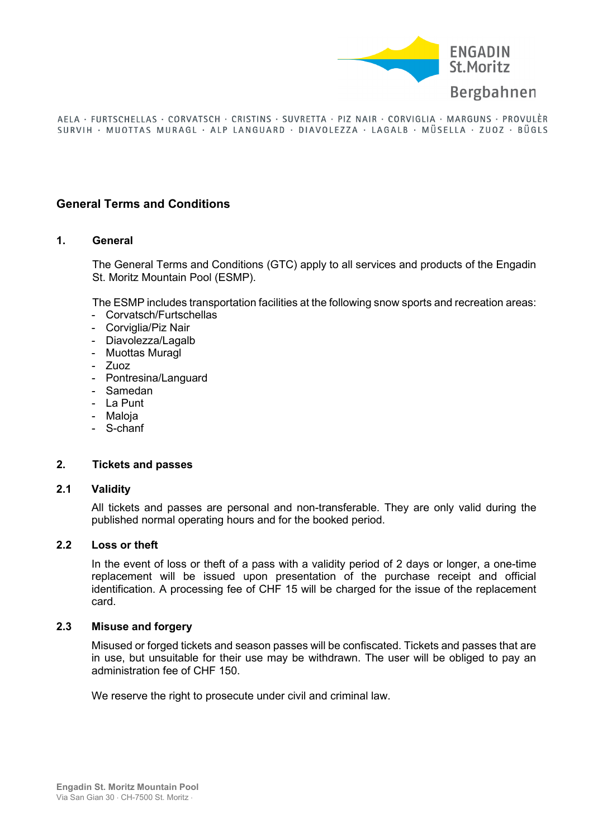

# **General Terms and Conditions**

### **1. General**

The General Terms and Conditions (GTC) apply to all services and products of the Engadin St. Moritz Mountain Pool (ESMP).

The ESMP includes transportation facilities at the following snow sports and recreation areas:

- Corvatsch/Furtschellas
- Corviglia/Piz Nair
- Diavolezza/Lagalb
- Muottas Muragl
- Zuoz
- Pontresina/Languard
- Samedan
- La Punt
- Maloja
- S-chanf

### **2. Tickets and passes**

# **2.1 Validity**

All tickets and passes are personal and non-transferable. They are only valid during the published normal operating hours and for the booked period.

### **2.2 Loss or theft**

In the event of loss or theft of a pass with a validity period of 2 days or longer, a one-time replacement will be issued upon presentation of the purchase receipt and official identification. A processing fee of CHF 15 will be charged for the issue of the replacement card.

# **2.3 Misuse and forgery**

Misused or forged tickets and season passes will be confiscated. Tickets and passes that are in use, but unsuitable for their use may be withdrawn. The user will be obliged to pay an administration fee of CHF 150.

We reserve the right to prosecute under civil and criminal law.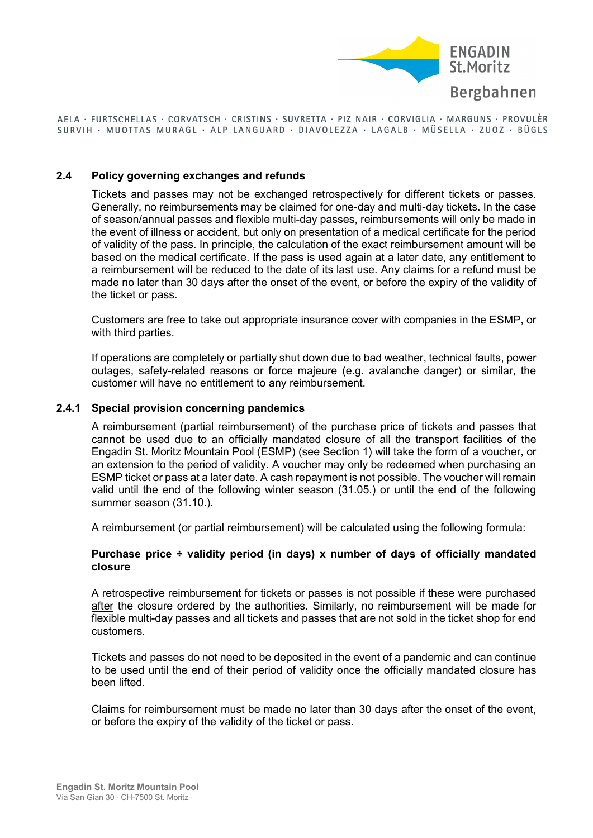

### **2.4 Policy governing exchanges and refunds**

Tickets and passes may not be exchanged retrospectively for different tickets or passes. Generally, no reimbursements may be claimed for one-day and multi-day tickets. In the case of season/annual passes and flexible multi-day passes, reimbursements will only be made in the event of illness or accident, but only on presentation of a medical certificate for the period of validity of the pass. In principle, the calculation of the exact reimbursement amount will be based on the medical certificate. If the pass is used again at a later date, any entitlement to a reimbursement will be reduced to the date of its last use. Any claims for a refund must be made no later than 30 days after the onset of the event, or before the expiry of the validity of the ticket or pass.

Customers are free to take out appropriate insurance cover with companies in the ESMP, or with third parties.

If operations are completely or partially shut down due to bad weather, technical faults, power outages, safety-related reasons or force majeure (e.g. avalanche danger) or similar, the customer will have no entitlement to any reimbursement.

### **2.4.1 Special provision concerning pandemics**

A reimbursement (partial reimbursement) of the purchase price of tickets and passes that cannot be used due to an officially mandated closure of all the transport facilities of the Engadin St. Moritz Mountain Pool (ESMP) (see Section 1) will take the form of a voucher, or an extension to the period of validity. A voucher may only be redeemed when purchasing an ESMP ticket or pass at a later date. A cash repayment is not possible. The voucher will remain valid until the end of the following winter season (31.05.) or until the end of the following summer season (31.10.).

A reimbursement (or partial reimbursement) will be calculated using the following formula:

### **Purchase price ÷ validity period (in days) x number of days of officially mandated closure**

A retrospective reimbursement for tickets or passes is not possible if these were purchased after the closure ordered by the authorities. Similarly, no reimbursement will be made for flexible multi-day passes and all tickets and passes that are not sold in the ticket shop for end customers.

Tickets and passes do not need to be deposited in the event of a pandemic and can continue to be used until the end of their period of validity once the officially mandated closure has been lifted.

Claims for reimbursement must be made no later than 30 days after the onset of the event, or before the expiry of the validity of the ticket or pass.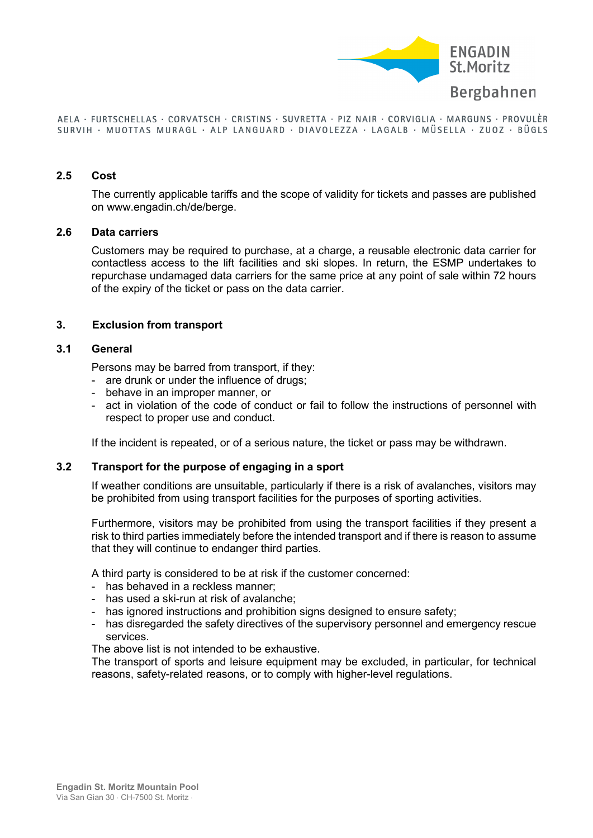

#### **2.5 Cost**

The currently applicable tariffs and the scope of validity for tickets and passes are published on www.engadin.ch/de/berge.

#### **2.6 Data carriers**

Customers may be required to purchase, at a charge, a reusable electronic data carrier for contactless access to the lift facilities and ski slopes. In return, the ESMP undertakes to repurchase undamaged data carriers for the same price at any point of sale within 72 hours of the expiry of the ticket or pass on the data carrier.

### **3. Exclusion from transport**

#### **3.1 General**

Persons may be barred from transport, if they:

- are drunk or under the influence of drugs;
- behave in an improper manner, or
- act in violation of the code of conduct or fail to follow the instructions of personnel with respect to proper use and conduct.

If the incident is repeated, or of a serious nature, the ticket or pass may be withdrawn.

### **3.2 Transport for the purpose of engaging in a sport**

If weather conditions are unsuitable, particularly if there is a risk of avalanches, visitors may be prohibited from using transport facilities for the purposes of sporting activities.

Furthermore, visitors may be prohibited from using the transport facilities if they present a risk to third parties immediately before the intended transport and if there is reason to assume that they will continue to endanger third parties.

A third party is considered to be at risk if the customer concerned:

- has behaved in a reckless manner;
- has used a ski-run at risk of avalanche;
- has ignored instructions and prohibition signs designed to ensure safety;
- has disregarded the safety directives of the supervisory personnel and emergency rescue services.

The above list is not intended to be exhaustive.

The transport of sports and leisure equipment may be excluded, in particular, for technical reasons, safety-related reasons, or to comply with higher-level regulations.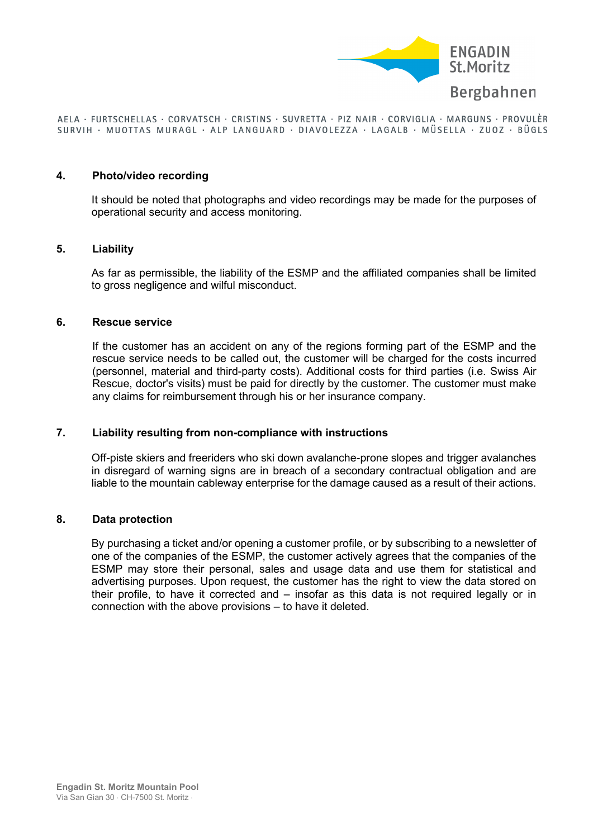

#### **4. Photo/video recording**

It should be noted that photographs and video recordings may be made for the purposes of operational security and access monitoring.

#### **5. Liability**

As far as permissible, the liability of the ESMP and the affiliated companies shall be limited to gross negligence and wilful misconduct.

### **6. Rescue service**

If the customer has an accident on any of the regions forming part of the ESMP and the rescue service needs to be called out, the customer will be charged for the costs incurred (personnel, material and third-party costs). Additional costs for third parties (i.e. Swiss Air Rescue, doctor's visits) must be paid for directly by the customer. The customer must make any claims for reimbursement through his or her insurance company.

### **7. Liability resulting from non-compliance with instructions**

Off-piste skiers and freeriders who ski down avalanche-prone slopes and trigger avalanches in disregard of warning signs are in breach of a secondary contractual obligation and are liable to the mountain cableway enterprise for the damage caused as a result of their actions.

### **8. Data protection**

By purchasing a ticket and/or opening a customer profile, or by subscribing to a newsletter of one of the companies of the ESMP, the customer actively agrees that the companies of the ESMP may store their personal, sales and usage data and use them for statistical and advertising purposes. Upon request, the customer has the right to view the data stored on their profile, to have it corrected and – insofar as this data is not required legally or in connection with the above provisions – to have it deleted.